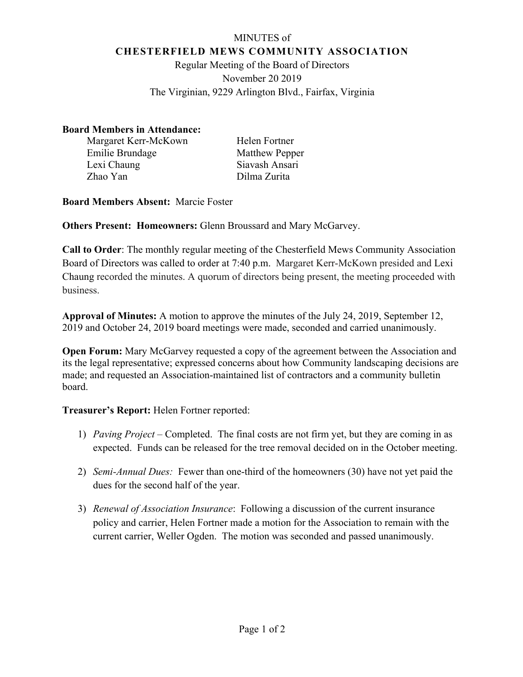## MINUTES of **CHESTERFIELD MEWS COMMUNITY ASSOCIATION**

Regular Meeting of the Board of Directors November 20 2019 The Virginian, 9229 Arlington Blvd., Fairfax, Virginia

## **Board Members in Attendance:**

Margaret Kerr-McKown Helen Fortner Emilie Brundage Matthew Pepper Lexi Chaung Zhao Yan

Siavash Ansari Dilma Zurita

**Board Members Absent:** Marcie Foster

**Others Present: Homeowners:** Glenn Broussard and Mary McGarvey.

**Call to Order**: The monthly regular meeting of the Chesterfield Mews Community Association Board of Directors was called to order at 7:40 p.m. Margaret Kerr-McKown presided and Lexi Chaung recorded the minutes. A quorum of directors being present, the meeting proceeded with business.

**Approval of Minutes:** A motion to approve the minutes of the July 24, 2019, September 12, 2019 and October 24, 2019 board meetings were made, seconded and carried unanimously.

**Open Forum:** Mary McGarvey requested a copy of the agreement between the Association and its the legal representative; expressed concerns about how Community landscaping decisions are made; and requested an Association-maintained list of contractors and a community bulletin board.

**Treasurer's Report:** Helen Fortner reported:

- 1) *Paving Project –* Completed. The final costs are not firm yet, but they are coming in as expected. Funds can be released for the tree removal decided on in the October meeting.
- 2) *Semi-Annual Dues:* Fewer than one-third of the homeowners (30) have not yet paid the dues for the second half of the year.
- 3) *Renewal of Association Insurance*: Following a discussion of the current insurance policy and carrier, Helen Fortner made a motion for the Association to remain with the current carrier, Weller Ogden. The motion was seconded and passed unanimously.